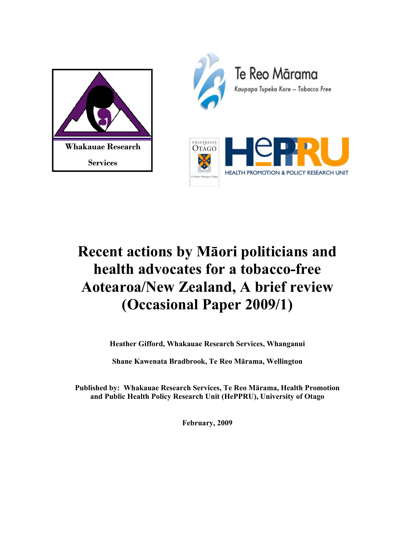



# **Recent actions by Māori politicians and health advocates for a tobacco-free Aotearoa/New Zealand, A brief review (Occasional Paper 2009/1)**

**Heather Gifford, Whakauae Research Services, Whanganui** 

**Shane Kawenata Bradbrook, Te Reo Mārama, Wellington** 

**Published by: Whakauae Research Services, Te Reo Mārama, Health Promotion and Public Health Policy Research Unit (HePPRU), University of Otago** 

**February, 2009**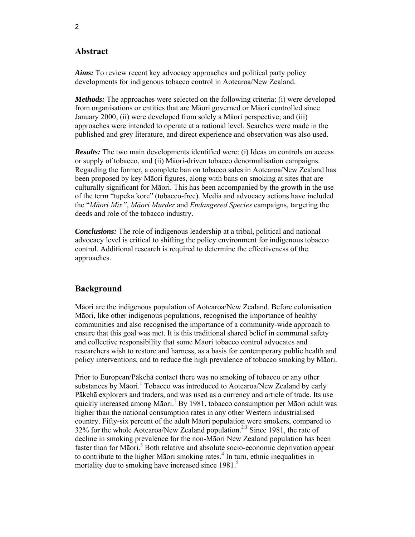# **Abstract**

*Aims:* To review recent key advocacy approaches and political party policy developments for indigenous tobacco control in Aotearoa/New Zealand.

*Methods:* The approaches were selected on the following criteria: (i) were developed from organisations or entities that are Māori governed or Māori controlled since January 2000; (ii) were developed from solely a Māori perspective; and (iii) approaches were intended to operate at a national level. Searches were made in the published and grey literature, and direct experience and observation was also used.

*Results:* The two main developments identified were: (i) Ideas on controls on access or supply of tobacco, and (ii) Māori-driven tobacco denormalisation campaigns. Regarding the former, a complete ban on tobacco sales in Aotearoa/New Zealand has been proposed by key Māori figures, along with bans on smoking at sites that are culturally significant for Māori. This has been accompanied by the growth in the use of the term "tupeka kore" (tobacco-free). Media and advocacy actions have included the "*Māori Mix"*, *Māori Murder* and *Endangered Species* campaigns, targeting the deeds and role of the tobacco industry.

*Conclusions:* The role of indigenous leadership at a tribal, political and national advocacy level is critical to shifting the policy environment for indigenous tobacco control. Additional research is required to determine the effectiveness of the approaches.

## **Background**

Māori are the indigenous population of Aotearoa/New Zealand. Before colonisation Māori, like other indigenous populations, recognised the importance of healthy communities and also recognised the importance of a community-wide approach to ensure that this goal was met. It is this traditional shared belief in communal safety and collective responsibility that some Māori tobacco control advocates and researchers wish to restore and harness, as a basis for contemporary public health and policy interventions, and to reduce the high prevalence of tobacco smoking by Māori.

Prior to European/Pākehā contact there was no smoking of tobacco or any other substances by Māori.<sup>1</sup> Tobacco was introduced to Aotearoa/New Zealand by early Pākehā explorers and traders, and was used as a currency and article of trade. Its use quickly increased among Māori.<sup>1</sup> By 1981, tobacco consumption per Māori adult was higher than the national consumption rates in any other Western industrialised country. Fifty-six percent of the adult Māori population were smokers, compared to 32% for the whole Aotearoa/New Zealand population.<sup>23</sup> Since 1981, the rate of decline in smoking prevalence for the non-Māori New Zealand population has been faster than for Māori.<sup>3</sup> Both relative and absolute socio-economic deprivation appear to contribute to the higher Māori smoking rates.<sup>4</sup> In turn, ethnic inequalities in mortality due to smoking have increased since 1981.<sup>5</sup>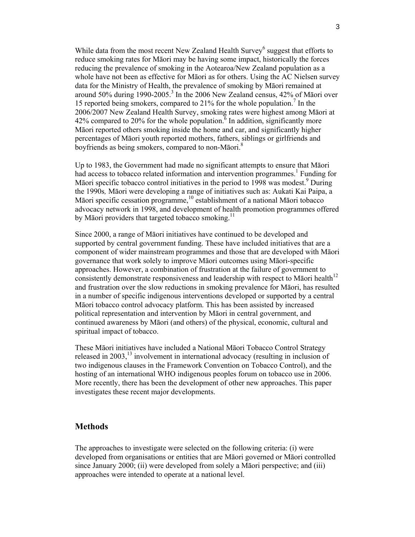While data from the most recent New Zealand Health Survey<sup>6</sup> suggest that efforts to reduce smoking rates for Māori may be having some impact, historically the forces reducing the prevalence of smoking in the Aotearoa/New Zealand population as a whole have not been as effective for Māori as for others. Using the AC Nielsen survey data for the Ministry of Health, the prevalence of smoking by Māori remained at around 50% during 1990-2005.<sup>3</sup> In the 2006 New Zealand census, 42% of Māori over 15 reported being smokers, compared to 21% for the whole population.<sup>7</sup> In the 2006/2007 New Zealand Health Survey, smoking rates were highest among Māori at 42% compared to 20% for the whole population.  $\frac{6}{6}$  In addition, significantly more Māori reported others smoking inside the home and car, and significantly higher percentages of Māori youth reported mothers, fathers, siblings or girlfriends and boyfriends as being smokers, compared to non-Māori.<sup>8</sup>

Up to 1983, the Government had made no significant attempts to ensure that Māori had access to tobacco related information and intervention programmes.<sup>1</sup> Funding for Māori specific tobacco control initiatives in the period to 1998 was modest.<sup>9</sup> During the 1990s*,* Māori were developing a range of initiatives such as: Aukati Kai Paipa, a Māori specific cessation programme,<sup>10</sup> establishment of a national Māori tobacco advocacy network in 1998, and development of health promotion programmes offered by Māori providers that targeted tobacco smoking.<sup>11</sup>

Since 2000, a range of Māori initiatives have continued to be developed and supported by central government funding. These have included initiatives that are a component of wider mainstream programmes and those that are developed with Māori governance that work solely to improve Māori outcomes using Māori-specific approaches. However, a combination of frustration at the failure of government to consistently demonstrate responsiveness and leadership with respect to Māori health $12$ and frustration over the slow reductions in smoking prevalence for Māori, has resulted in a number of specific indigenous interventions developed or supported by a central Māori tobacco control advocacy platform. This has been assisted by increased political representation and intervention by Māori in central government, and continued awareness by Māori (and others) of the physical, economic, cultural and spiritual impact of tobacco.

These Māori initiatives have included a National Māori Tobacco Control Strategy released in  $2003$ ,<sup>13</sup> involvement in international advocacy (resulting in inclusion of two indigenous clauses in the Framework Convention on Tobacco Control), and the hosting of an international WHO indigenous peoples forum on tobacco use in 2006. More recently, there has been the development of other new approaches. This paper investigates these recent major developments.

### **Methods**

The approaches to investigate were selected on the following criteria: (i) were developed from organisations or entities that are Māori governed or Māori controlled since January 2000; (ii) were developed from solely a Māori perspective; and (iii) approaches were intended to operate at a national level.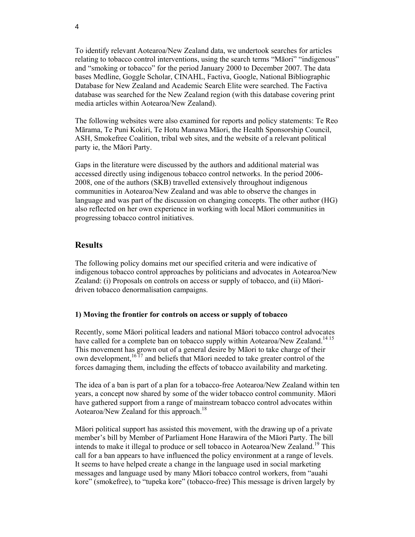To identify relevant Aotearoa/New Zealand data, we undertook searches for articles relating to tobacco control interventions, using the search terms "Māori" "indigenous" and "smoking or tobacco" for the period January 2000 to December 2007. The data bases Medline, Goggle Scholar, CINAHL, Factiva, Google, National Bibliographic Database for New Zealand and Academic Search Elite were searched. The Factiva database was searched for the New Zealand region (with this database covering print media articles within Aotearoa/New Zealand).

The following websites were also examined for reports and policy statements: Te Reo Mārama, Te Puni Kokiri, Te Hotu Manawa Māori, the Health Sponsorship Council, ASH, Smokefree Coalition, tribal web sites, and the website of a relevant political party ie, the Māori Party.

Gaps in the literature were discussed by the authors and additional material was accessed directly using indigenous tobacco control networks. In the period 2006- 2008, one of the authors (SKB) travelled extensively throughout indigenous communities in Aotearoa/New Zealand and was able to observe the changes in language and was part of the discussion on changing concepts. The other author (HG) also reflected on her own experience in working with local Māori communities in progressing tobacco control initiatives.

## **Results**

The following policy domains met our specified criteria and were indicative of indigenous tobacco control approaches by politicians and advocates in Aotearoa/New Zealand: (i) Proposals on controls on access or supply of tobacco, and (ii) Māoridriven tobacco denormalisation campaigns.

#### **1) Moving the frontier for controls on access or supply of tobacco**

Recently, some Māori political leaders and national Māori tobacco control advocates have called for a complete ban on tobacco supply within Aotearoa/New Zealand.<sup>1415</sup> This movement has grown out of a general desire by Māori to take charge of their own development, $1617$  and beliefs that Māori needed to take greater control of the forces damaging them, including the effects of tobacco availability and marketing.

The idea of a ban is part of a plan for a tobacco-free Aotearoa/New Zealand within ten years, a concept now shared by some of the wider tobacco control community. Māori have gathered support from a range of mainstream tobacco control advocates within Aotearoa/New Zealand for this approach.<sup>18</sup>

Māori political support has assisted this movement, with the drawing up of a private member's bill by Member of Parliament Hone Harawira of the Māori Party. The bill intends to make it illegal to produce or sell tobacco in Aotearoa/New Zealand.<sup>19</sup> This call for a ban appears to have influenced the policy environment at a range of levels. It seems to have helped create a change in the language used in social marketing messages and language used by many Māori tobacco control workers, from "auahi kore" (smokefree), to "tupeka kore" (tobacco-free) This message is driven largely by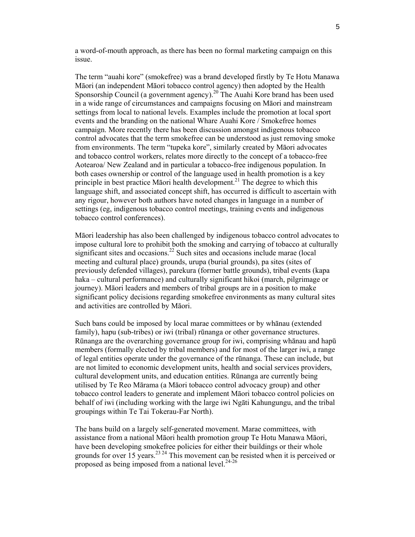a word-of-mouth approach, as there has been no formal marketing campaign on this issue.

The term "auahi kore" (smokefree) was a brand developed firstly by Te Hotu Manawa Māori (an independent Māori tobacco control agency) then adopted by the Health Sponsorship Council (a government agency).<sup>20</sup> The Auahi Kore brand has been used in a wide range of circumstances and campaigns focusing on Māori and mainstream settings from local to national levels. Examples include the promotion at local sport events and the branding on the national Whare Auahi Kore / Smokefree homes campaign. More recently there has been discussion amongst indigenous tobacco control advocates that the term smokefree can be understood as just removing smoke from environments. The term "tupeka kore", similarly created by Māori advocates and tobacco control workers, relates more directly to the concept of a tobacco-free Aotearoa/ New Zealand and in particular a tobacco-free indigenous population. In both cases ownership or control of the language used in health promotion is a key principle in best practice Māori health development.<sup>21</sup> The degree to which this language shift, and associated concept shift, has occurred is difficult to ascertain with any rigour, however both authors have noted changes in language in a number of settings (eg, indigenous tobacco control meetings, training events and indigenous tobacco control conferences).

Māori leadership has also been challenged by indigenous tobacco control advocates to impose cultural lore to prohibit both the smoking and carrying of tobacco at culturally significant sites and occasions.<sup>22</sup> Such sites and occasions include marae (local meeting and cultural place) grounds, urupa (burial grounds), pa sites (sites of previously defended villages), parekura (former battle grounds), tribal events (kapa haka – cultural performance) and culturally significant hikoi (march, pilgrimage or journey). Māori leaders and members of tribal groups are in a position to make significant policy decisions regarding smokefree environments as many cultural sites and activities are controlled by Māori.

Such bans could be imposed by local marae committees or by whānau (extended family), hapu (sub-tribes) or iwi (tribal) rūnanga or other governance structures. Rūnanga are the overarching governance group for iwi, comprising whānau and hapū members (formally elected by tribal members) and for most of the larger iwi, a range of legal entities operate under the governance of the rūnanga. These can include, but are not limited to economic development units, health and social services providers, cultural development units, and education entities. Rūnanga are currently being utilised by Te Reo Mārama (a Māori tobacco control advocacy group) and other tobacco control leaders to generate and implement Māori tobacco control policies on behalf of iwi (including working with the large iwi Ngāti Kahungungu, and the tribal groupings within Te Tai Tokerau-Far North).

The bans build on a largely self-generated movement. Marae committees, with assistance from a national Māori health promotion group Te Hotu Manawa Māori, have been developing smokefree policies for either their buildings or their whole grounds for over  $15$  years.<sup>23, 24</sup> This movement can be resisted when it is perceived or proposed as being imposed from a national level. $24-26$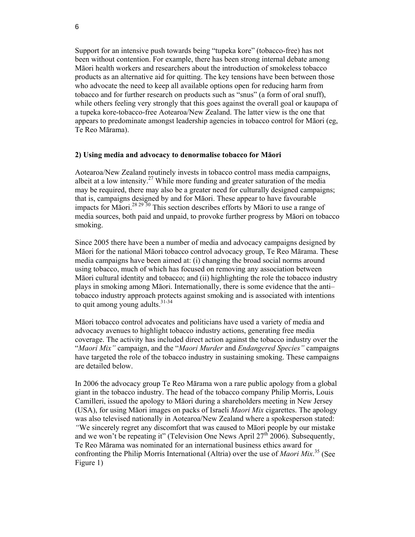Support for an intensive push towards being "tupeka kore" (tobacco-free) has not been without contention. For example, there has been strong internal debate among Māori health workers and researchers about the introduction of smokeless tobacco products as an alternative aid for quitting. The key tensions have been between those who advocate the need to keep all available options open for reducing harm from tobacco and for further research on products such as "snus" (a form of oral snuff), while others feeling very strongly that this goes against the overall goal or kaupapa of a tupeka kore-tobacco-free Aotearoa/New Zealand. The latter view is the one that appears to predominate amongst leadership agencies in tobacco control for Māori (eg, Te Reo Mārama).

#### **2) Using media and advocacy to denormalise tobacco for Māori**

Aotearoa/New Zealand routinely invests in tobacco control mass media campaigns, albeit at a low intensity.<sup>27</sup> While more funding and greater saturation of the media may be required, there may also be a greater need for culturally designed campaigns; that is, campaigns designed by and for Māori. These appear to have favourable impacts for Māori.28 29 30 This section describes efforts by Māori to use a range of media sources, both paid and unpaid, to provoke further progress by Māori on tobacco smoking.

Since 2005 there have been a number of media and advocacy campaigns designed by Māori for the national Māori tobacco control advocacy group, Te Reo Mārama. These media campaigns have been aimed at: (i) changing the broad social norms around using tobacco, much of which has focused on removing any association between Māori cultural identity and tobacco; and (ii) highlighting the role the tobacco industry plays in smoking among Māori. Internationally, there is some evidence that the anti– tobacco industry approach protects against smoking and is associated with intentions to quit among young adults. $31-34$ 

Māori tobacco control advocates and politicians have used a variety of media and advocacy avenues to highlight tobacco industry actions, generating free media coverage. The activity has included direct action against the tobacco industry over the "*Maori Mix"* campaign, and the "*Maori Murder* and *Endangered Species"* campaigns have targeted the role of the tobacco industry in sustaining smoking. These campaigns are detailed below.

In 2006 the advocacy group Te Reo Mārama won a rare public apology from a global giant in the tobacco industry. The head of the tobacco company Philip Morris, Louis Camilleri, issued the apology to Māori during a shareholders meeting in New Jersey (USA), for using Māori images on packs of Israeli *Maori Mix* cigarettes. The apology was also televised nationally in Aotearoa/New Zealand where a spokesperson stated: *"*We sincerely regret any discomfort that was caused to Māori people by our mistake and we won't be repeating it" (Television One News April  $27<sup>th</sup>$  2006). Subsequently, Te Reo Mārama was nominated for an international business ethics award for confronting the Philip Morris International (Altria) over the use of *Maori Mix*. 35 (See Figure 1)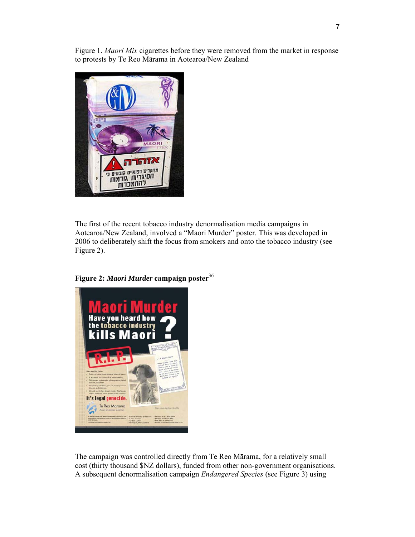Figure 1. *Maori Mix* cigarettes before they were removed from the market in response to protests by Te Reo Mārama in Aotearoa/New Zealand



The first of the recent tobacco industry denormalisation media campaigns in Aotearoa/New Zealand, involved a "Maori Murder" poster. This was developed in 2006 to deliberately shift the focus from smokers and onto the tobacco industry (see Figure 2).

**Figure 2:** *Maori Murder* **campaign poster**<sup>36</sup>



The campaign was controlled directly from Te Reo Mārama, for a relatively small cost (thirty thousand \$NZ dollars), funded from other non-government organisations. A subsequent denormalisation campaign *Endangered Species* (see Figure 3) using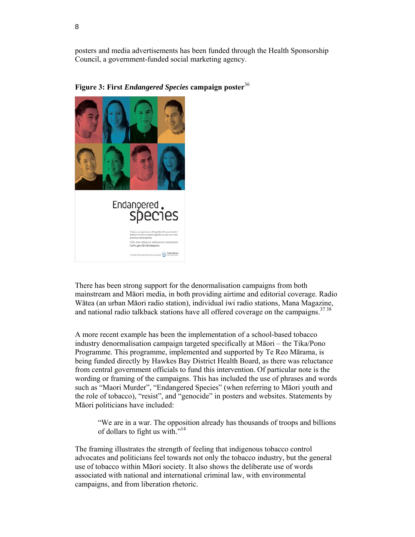posters and media advertisements has been funded through the Health Sponsorship Council, a government-funded social marketing agency.





There has been strong support for the denormalisation campaigns from both mainstream and Māori media, in both providing airtime and editorial coverage. Radio Wātea (an urban Māori radio station), individual iwi radio stations, Mana Magazine, and national radio talkback stations have all offered coverage on the campaigns. $3738$ 

A more recent example has been the implementation of a school-based tobacco industry denormalisation campaign targeted specifically at Māori – the Tika/Pono Programme. This programme, implemented and supported by Te Reo Mārama, is being funded directly by Hawkes Bay District Health Board, as there was reluctance from central government officials to fund this intervention. Of particular note is the wording or framing of the campaigns. This has included the use of phrases and words such as "Maori Murder", "Endangered Species" (when referring to Māori youth and the role of tobacco), "resist", and "genocide" in posters and websites. Statements by Māori politicians have included:

"We are in a war. The opposition already has thousands of troops and billions of dollars to fight us with."<sup>14</sup>

The framing illustrates the strength of feeling that indigenous tobacco control advocates and politicians feel towards not only the tobacco industry, but the general use of tobacco within Māori society. It also shows the deliberate use of words associated with national and international criminal law, with environmental campaigns, and from liberation rhetoric.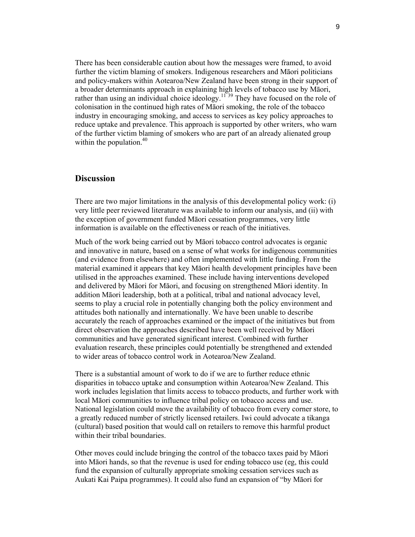There has been considerable caution about how the messages were framed, to avoid further the victim blaming of smokers. Indigenous researchers and Māori politicians and policy-makers within Aotearoa/New Zealand have been strong in their support of a broader determinants approach in explaining high levels of tobacco use by Māori, rather than using an individual choice ideology.<sup>11 39</sup> They have focused on the role of colonisation in the continued high rates of Māori smoking, the role of the tobacco industry in encouraging smoking, and access to services as key policy approaches to reduce uptake and prevalence. This approach is supported by other writers, who warn of the further victim blaming of smokers who are part of an already alienated group within the population. $40$ 

# **Discussion**

There are two major limitations in the analysis of this developmental policy work: (i) very little peer reviewed literature was available to inform our analysis, and (ii) with the exception of government funded Māori cessation programmes, very little information is available on the effectiveness or reach of the initiatives.

Much of the work being carried out by Māori tobacco control advocates is organic and innovative in nature, based on a sense of what works for indigenous communities (and evidence from elsewhere) and often implemented with little funding. From the material examined it appears that key Māori health development principles have been utilised in the approaches examined. These include having interventions developed and delivered by Māori for Māori, and focusing on strengthened Māori identity. In addition Māori leadership, both at a political, tribal and national advocacy level, seems to play a crucial role in potentially changing both the policy environment and attitudes both nationally and internationally. We have been unable to describe accurately the reach of approaches examined or the impact of the initiatives but from direct observation the approaches described have been well received by Māori communities and have generated significant interest. Combined with further evaluation research, these principles could potentially be strengthened and extended to wider areas of tobacco control work in Aotearoa/New Zealand.

There is a substantial amount of work to do if we are to further reduce ethnic disparities in tobacco uptake and consumption within Aotearoa/New Zealand. This work includes legislation that limits access to tobacco products, and further work with local Māori communities to influence tribal policy on tobacco access and use. National legislation could move the availability of tobacco from every corner store, to a greatly reduced number of strictly licensed retailers. Iwi could advocate a tikanga (cultural) based position that would call on retailers to remove this harmful product within their tribal boundaries.

Other moves could include bringing the control of the tobacco taxes paid by Māori into Māori hands, so that the revenue is used for ending tobacco use (eg, this could fund the expansion of culturally appropriate smoking cessation services such as Aukati Kai Paipa programmes). It could also fund an expansion of "by Māori for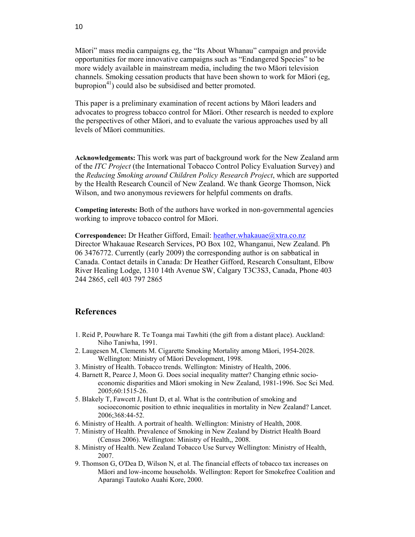Māori" mass media campaigns eg, the "Its About Whanau" campaign and provide opportunities for more innovative campaigns such as "Endangered Species" to be more widely available in mainstream media, including the two Māori television channels. Smoking cessation products that have been shown to work for Māori (eg, bupropion<sup>41</sup>) could also be subsidised and better promoted.

This paper is a preliminary examination of recent actions by Māori leaders and advocates to progress tobacco control for Māori. Other research is needed to explore the perspectives of other Māori, and to evaluate the various approaches used by all levels of Māori communities.

**Acknowledgements:** This work was part of background work for the New Zealand arm of the *ITC Project* (the International Tobacco Control Policy Evaluation Survey) and the *Reducing Smoking around Children Policy Research Project*, which are supported by the Health Research Council of New Zealand. We thank George Thomson, Nick Wilson, and two anonymous reviewers for helpful comments on drafts.

**Competing interests:** Both of the authors have worked in non-governmental agencies working to improve tobacco control for Māori.

**Correspondence:** Dr Heather Gifford, Email: heather.whakauae@xtra.co.nz Director Whakauae Research Services, PO Box 102, Whanganui, New Zealand. Ph 06 3476772. Currently (early 2009) the corresponding author is on sabbatical in Canada. Contact details in Canada: Dr Heather Gifford, Research Consultant, Elbow River Healing Lodge, 1310 14th Avenue SW, Calgary T3C3S3, Canada, Phone 403 244 2865, cell 403 797 2865

## **References**

- 1. Reid P, Pouwhare R. Te Toanga mai Tawhiti (the gift from a distant place). Auckland: Niho Taniwha, 1991.
- 2. Laugesen M, Clements M. Cigarette Smoking Mortality among Māori, 1954-2028. Wellington: Ministry of Māori Development, 1998.
- 3. Ministry of Health. Tobacco trends. Wellington: Ministry of Health, 2006.
- 4. Barnett R, Pearce J, Moon G. Does social inequality matter? Changing ethnic socioeconomic disparities and Māori smoking in New Zealand, 1981-1996. Soc Sci Med. 2005;60:1515-26.
- 5. Blakely T, Fawcett J, Hunt D, et al. What is the contribution of smoking and socioeconomic position to ethnic inequalities in mortality in New Zealand? Lancet. 2006;368:44-52.
- 6. Ministry of Health. A portrait of health. Wellington: Ministry of Health, 2008.
- 7. Ministry of Health. Prevalence of Smoking in New Zealand by District Health Board (Census 2006). Wellington: Ministry of Health,, 2008.
- 8. Ministry of Health. New Zealand Tobacco Use Survey Wellington: Ministry of Health, 2007.
- 9. Thomson G, O'Dea D, Wilson N, et al. The financial effects of tobacco tax increases on Māori and low-income households. Wellington: Report for Smokefree Coalition and Aparangi Tautoko Auahi Kore, 2000.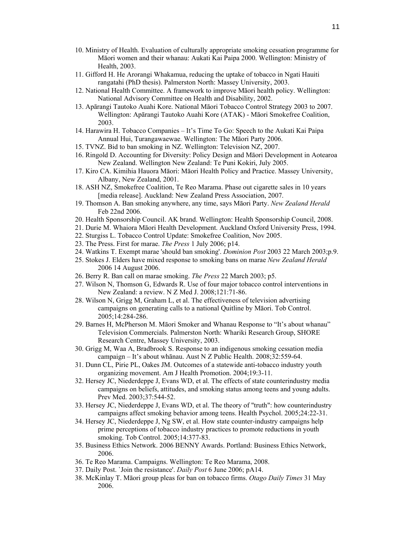- 10. Ministry of Health. Evaluation of culturally appropriate smoking cessation programme for Māori women and their whanau: Aukati Kai Paipa 2000. Wellington: Ministry of Health, 2003.
- 11. Gifford H. He Arorangi Whakamua, reducing the uptake of tobacco in Ngati Hauiti rangatahi (PhD thesis). Palmerston North: Massey University, 2003.
- 12. National Health Committee. A framework to improve Māori health policy. Wellington: National Advisory Committee on Health and Disability, 2002.
- 13. Apārangi Tautoko Auahi Kore. National Māori Tobacco Control Strategy 2003 to 2007. Wellington: Apārangi Tautoko Auahi Kore (ATAK) - Māori Smokefree Coalition, 2003.
- 14. Harawira H. Tobacco Companies It's Time To Go: Speech to the Aukati Kai Paipa Annual Hui, Turangawaewae. Wellington: The Māori Party 2006.
- 15. TVNZ. Bid to ban smoking in NZ. Wellington: Television NZ, 2007.
- 16. Ringold D. Accounting for Diversity: Policy Design and Māori Development in Aotearoa New Zealand. Wellington New Zealand: Te Puni Kokiri, July 2005.
- 17. Kiro CA. Kimihia Hauora Māori: Māori Health Policy and Practice. Massey University, Albany, New Zealand, 2001.
- 18. ASH NZ, Smokefree Coalition, Te Reo Marama. Phase out cigarette sales in 10 years [media release]. Auckland: New Zealand Press Association, 2007.
- 19. Thomson A. Ban smoking anywhere, any time, says Māori Party. *New Zealand Herald*  Feb 22nd 2006.
- 20. Health Sponsorship Council. AK brand. Wellington: Health Sponsorship Council, 2008.
- 21. Durie M. Whaiora Māori Health Development. Auckland Oxford University Press, 1994.
- 22. Sturgiss L. Tobacco Control Update: Smokefree Coalition, Nov 2005.
- 23. The Press. First for marae. *The Press* 1 July 2006; p14.
- 24. Watkins T. Exempt marae 'should ban smoking'. *Dominion Post* 2003 22 March 2003;p.9.
- 25. Stokes J. Elders have mixed response to smoking bans on marae *New Zealand Herald* 2006 14 August 2006.
- 26. Berry R. Ban call on marae smoking. *The Press* 22 March 2003; p5.
- 27. Wilson N, Thomson G, Edwards R. Use of four major tobacco control interventions in New Zealand: a review. N Z Med J. 2008;121:71-86.
- 28. Wilson N, Grigg M, Graham L, et al. The effectiveness of television advertising campaigns on generating calls to a national Quitline by Māori. Tob Control. 2005;14:284-286.
- 29. Barnes H, McPherson M. Māori Smoker and Whanau Response to "It's about whanau" Television Commercials. Palmerston North: Whariki Research Group, SHORE Research Centre, Massey University, 2003.
- 30. Grigg M, Waa A, Bradbrook S. Response to an indigenous smoking cessation media campaign – It's about whānau. Aust N Z Public Health. 2008;32:559-64.
- 31. Dunn CL, Pirie PL, Oakes JM. Outcomes of a statewide anti-tobacco industry youth organizing movement. Am J Health Promotion. 2004;19:3-11.
- 32. Hersey JC, Niederdeppe J, Evans WD, et al. The effects of state counterindustry media campaigns on beliefs, attitudes, and smoking status among teens and young adults. Prev Med. 2003;37:544-52.
- 33. Hersey JC, Niederdeppe J, Evans WD, et al. The theory of "truth": how counterindustry campaigns affect smoking behavior among teens. Health Psychol. 2005;24:22-31.
- 34. Hersey JC, Niederdeppe J, Ng SW, et al. How state counter-industry campaigns help prime perceptions of tobacco industry practices to promote reductions in youth smoking. Tob Control. 2005;14:377-83.
- 35. Business Ethics Network. 2006 BENNY Awards. Portland: Business Ethics Network, 2006.
- 36. Te Reo Marama. Campaigns. Wellington: Te Reo Marama, 2008.
- 37. Daily Post. `Join the resistance'. *Daily Post* 6 June 2006; pA14.
- 38. McKinlay T. Māori group pleas for ban on tobacco firms. *Otago Daily Times* 31 May 2006.